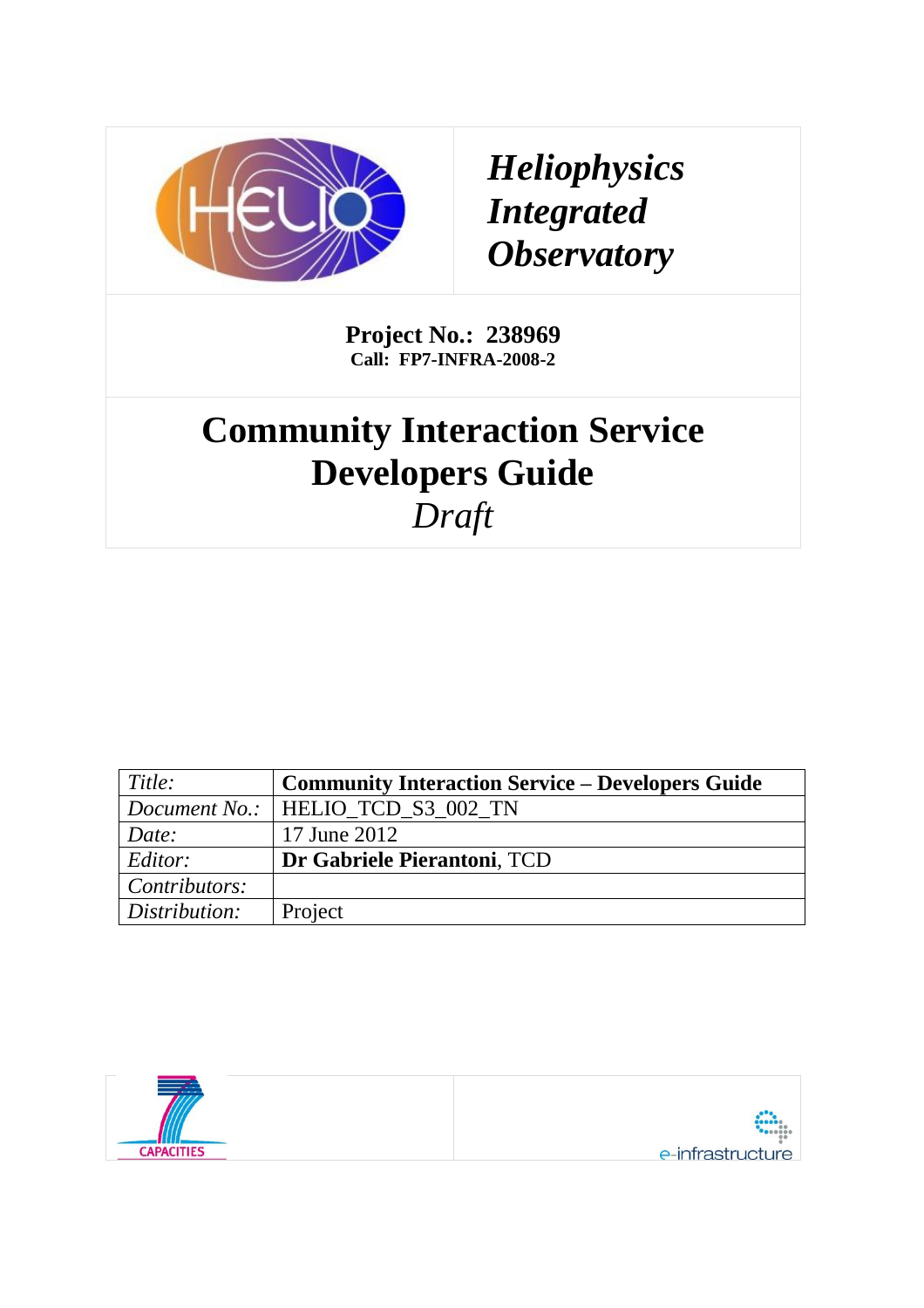

*Heliophysics Integrated Observatory*

**Project No.: 238969 Call: FP7-INFRA-2008-2**

# **Community Interaction Service Developers Guide** *Draft*

| Title:        | <b>Community Interaction Service – Developers Guide</b> |
|---------------|---------------------------------------------------------|
|               | Document No.:   HELIO TCD S3 002 TN                     |
| Date:         | 17 June 2012                                            |
| Editor:       | Dr Gabriele Pierantoni, TCD                             |
| Contributors: |                                                         |
| Distribution: | Project                                                 |

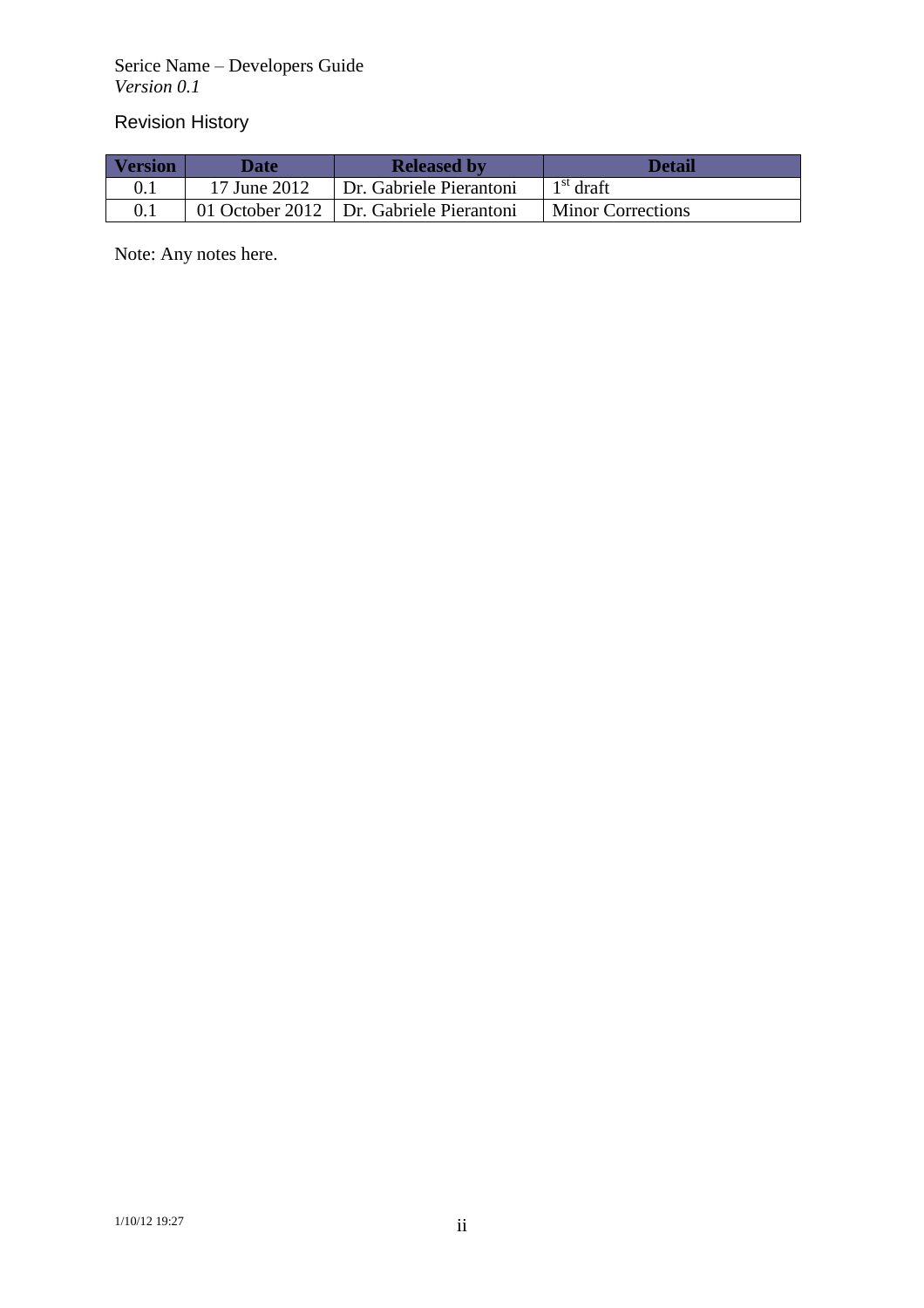Serice Name – Developers Guide *Version 0.1*

# Revision History

| <b>Version</b> | <b>Date</b>  | <b>Released by</b>                        | <b>Detail</b>            |
|----------------|--------------|-------------------------------------------|--------------------------|
|                | 17 June 2012 | Dr. Gabriele Pierantoni                   | $1st$ draft              |
|                |              | 01 October 2012   Dr. Gabriele Pierantoni | <b>Minor Corrections</b> |

Note: Any notes here.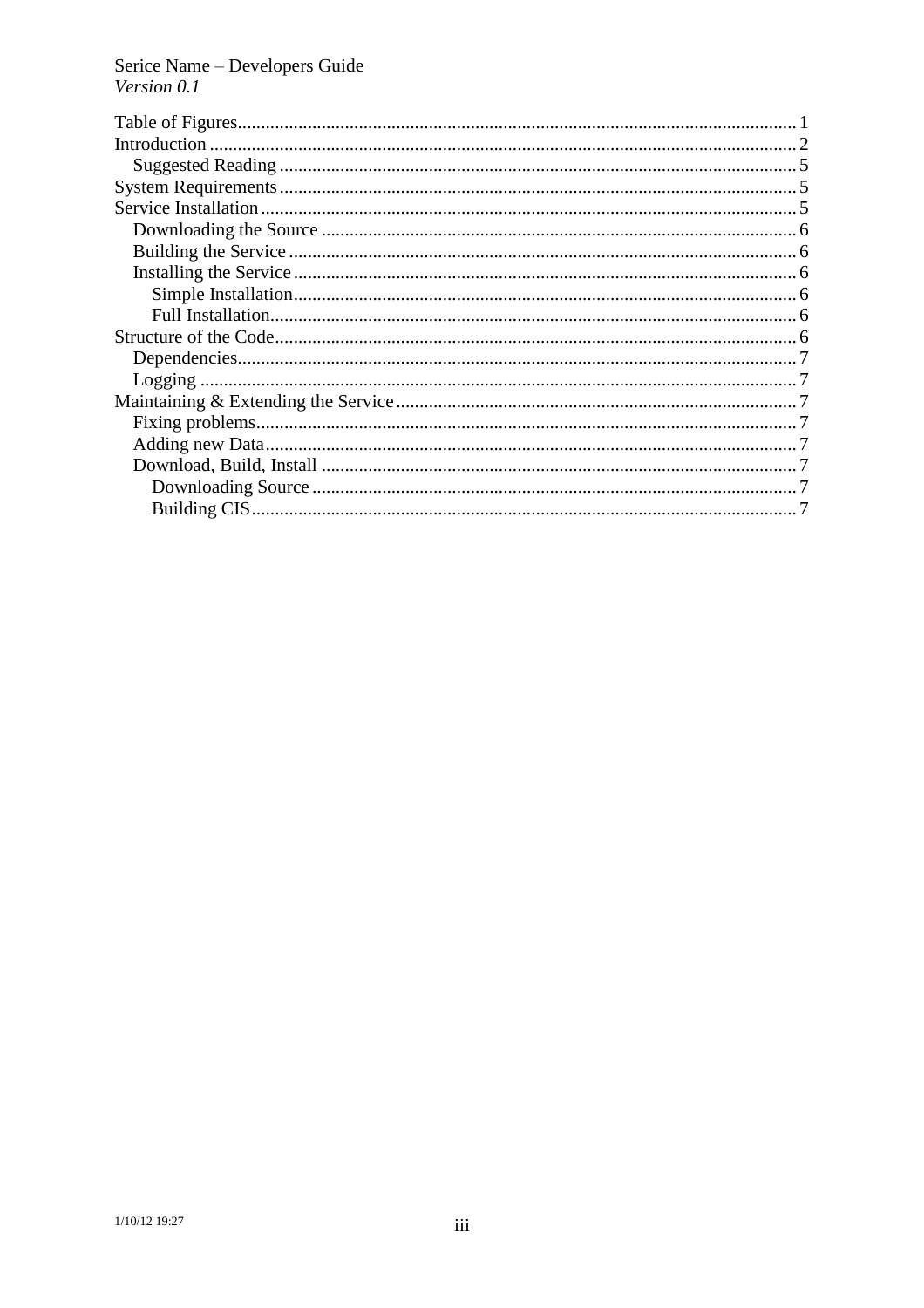Serice Name - Developers Guide<br>Version  $0.1$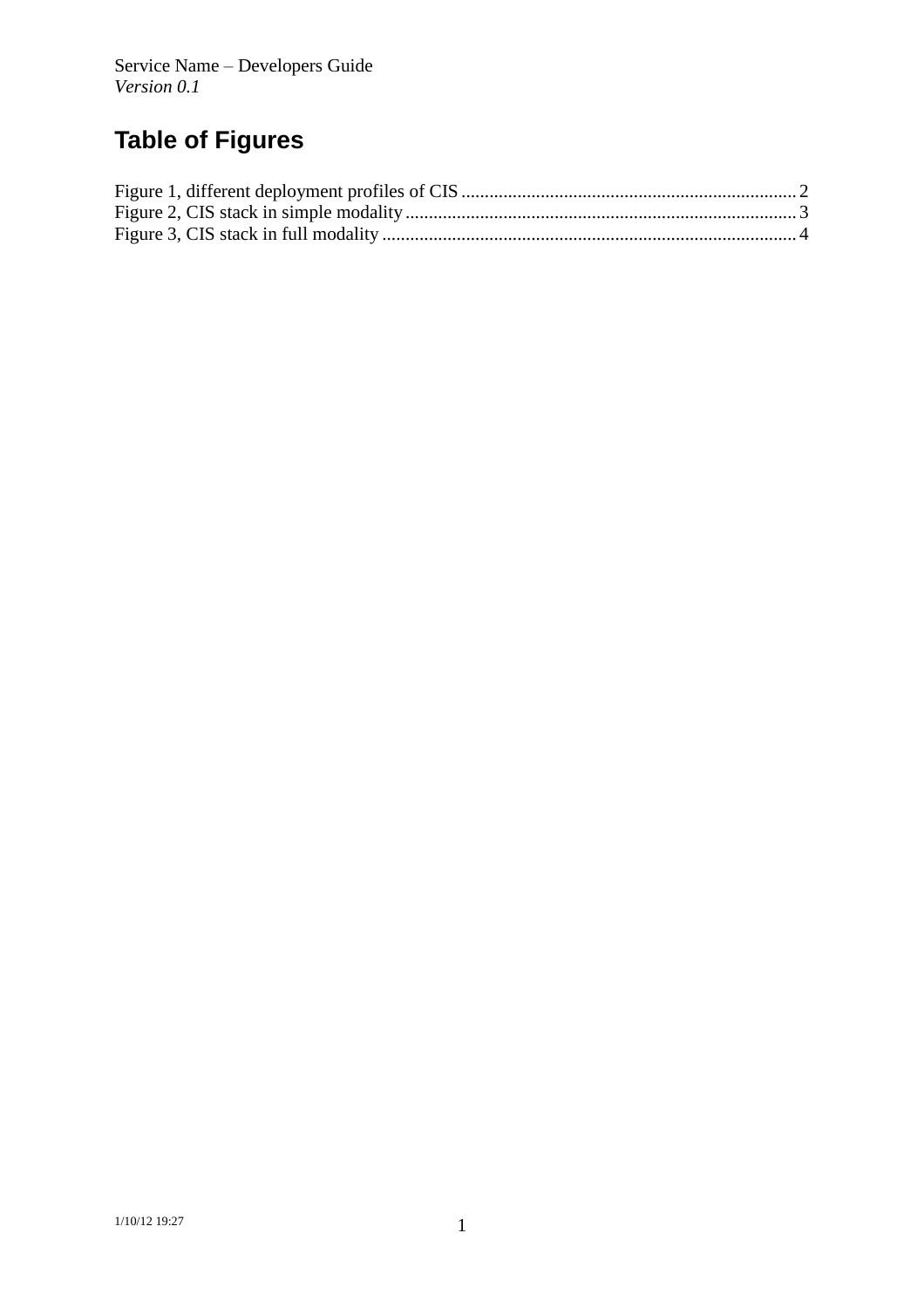# **Table of Figures**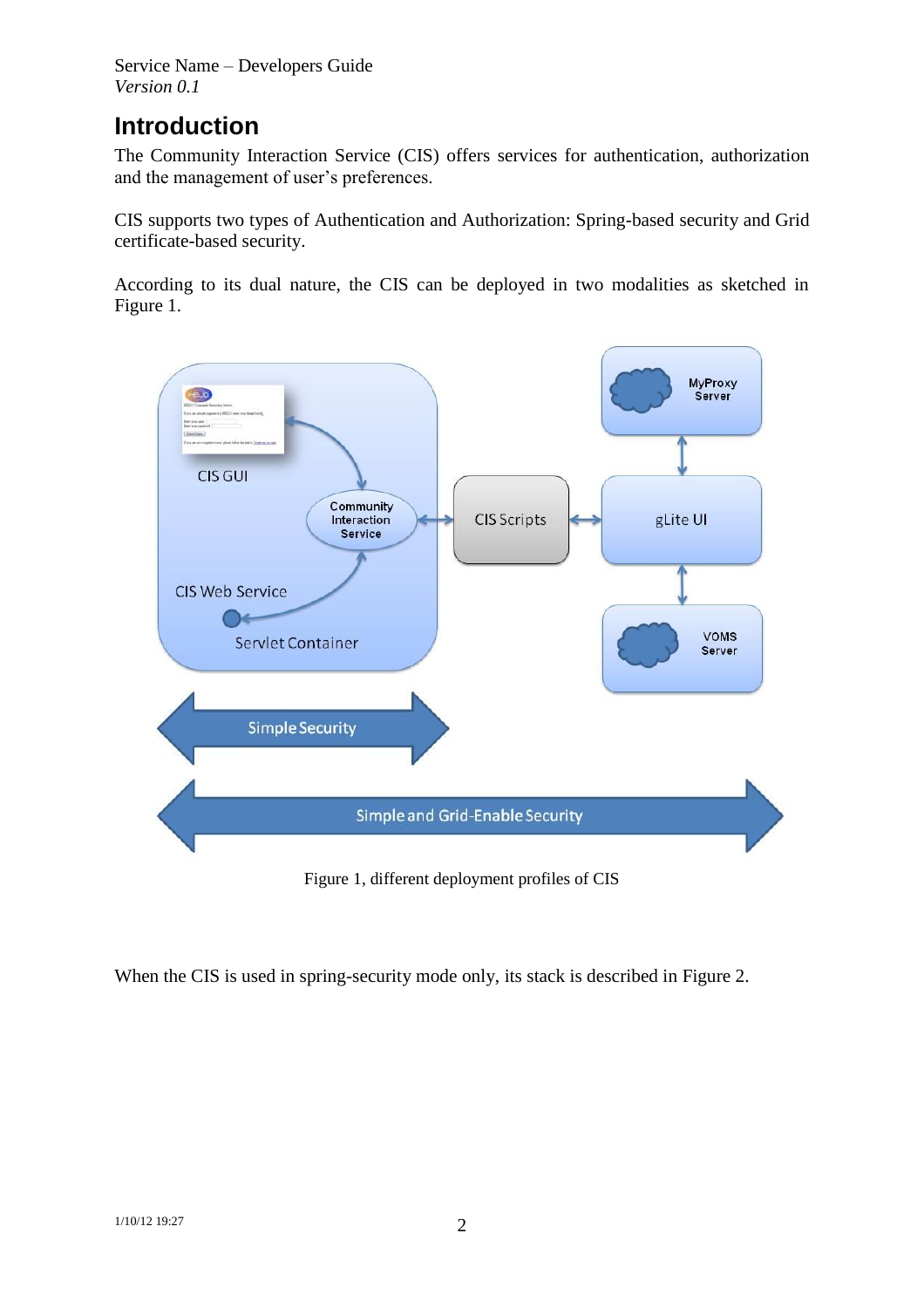Service Name – Developers Guide *Version 0.1*

# **Introduction**

The Community Interaction Service (CIS) offers services for authentication, authorization and the management of user's preferences.

CIS supports two types of Authentication and Authorization: Spring-based security and Grid certificate-based security.

According to its dual nature, the CIS can be deployed in two modalities as sketched in [Figure 1.](#page-4-0)



Figure 1, different deployment profiles of CIS

<span id="page-4-0"></span>When the CIS is used in spring-security mode only, its stack is described in [Figure 2.](#page-5-0)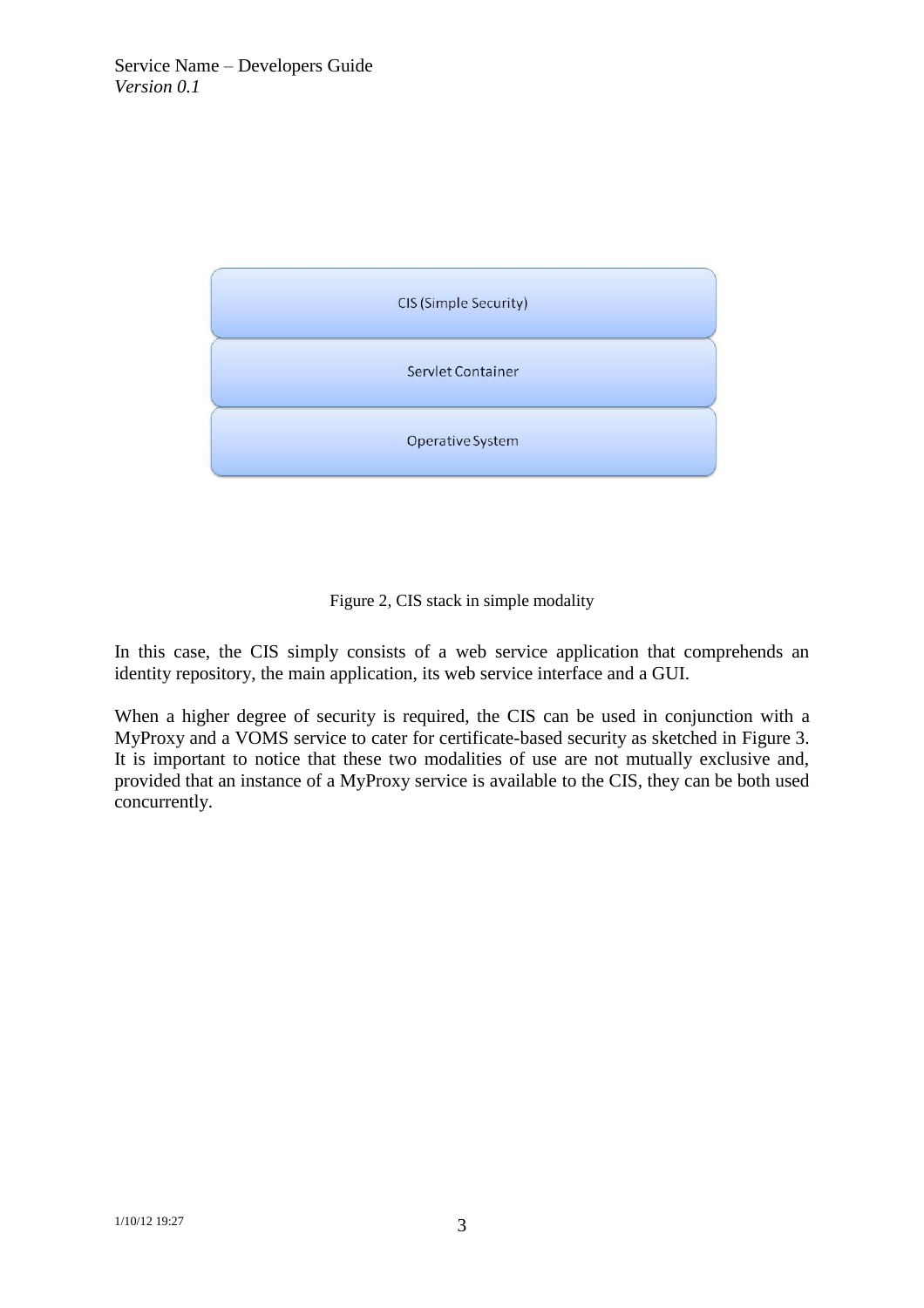

Figure 2, CIS stack in simple modality

<span id="page-5-0"></span>In this case, the CIS simply consists of a web service application that comprehends an identity repository, the main application, its web service interface and a GUI.

When a higher degree of security is required, the CIS can be used in conjunction with a MyProxy and a VOMS service to cater for certificate-based security as sketched in [Figure 3.](#page-6-0) It is important to notice that these two modalities of use are not mutually exclusive and, provided that an instance of a MyProxy service is available to the CIS, they can be both used concurrently.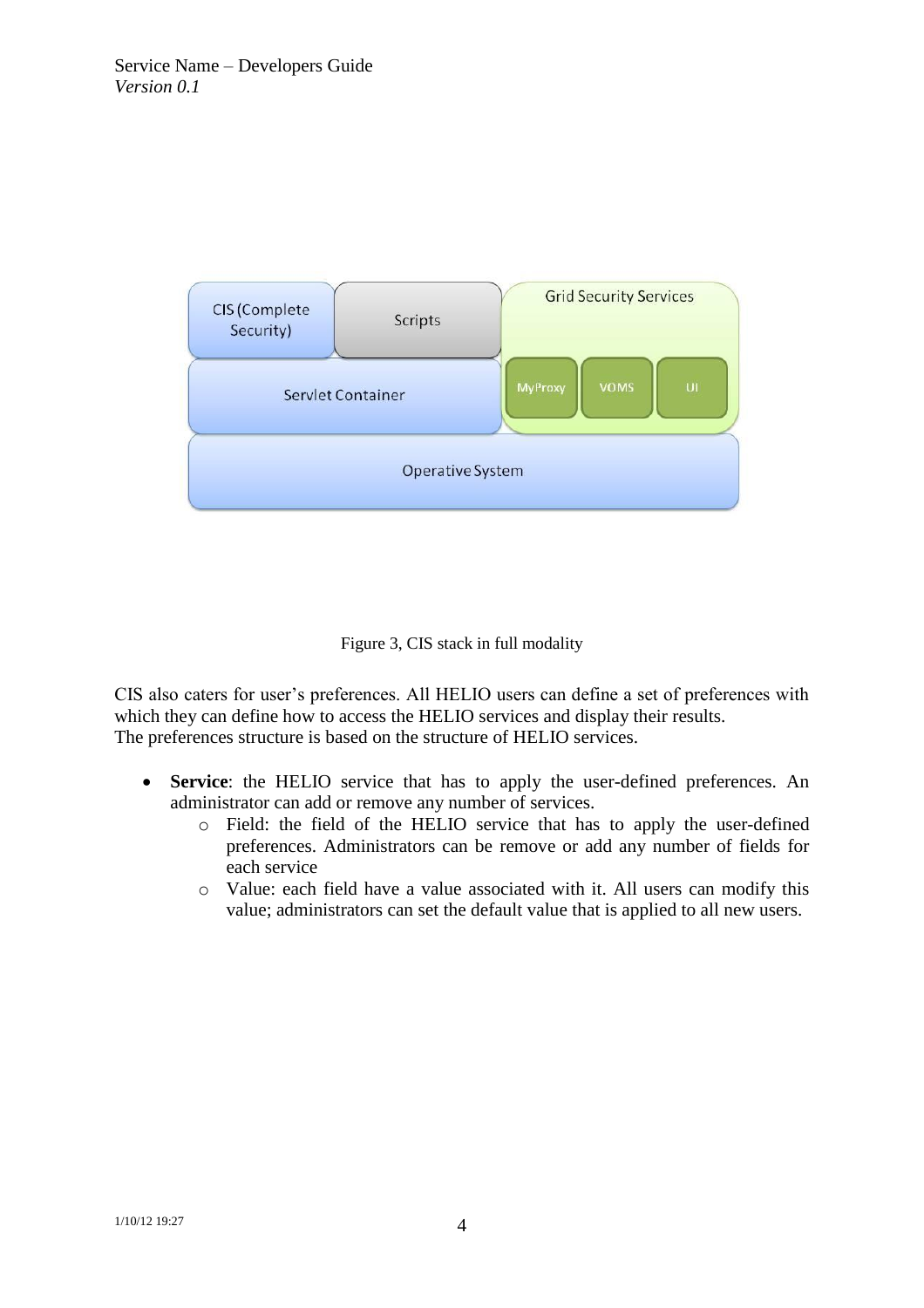

Figure 3, CIS stack in full modality

<span id="page-6-0"></span>CIS also caters for user's preferences. All HELIO users can define a set of preferences with which they can define how to access the HELIO services and display their results. The preferences structure is based on the structure of HELIO services.

- **Service**: the HELIO service that has to apply the user-defined preferences. An administrator can add or remove any number of services.
	- o Field: the field of the HELIO service that has to apply the user-defined preferences. Administrators can be remove or add any number of fields for each service
	- o Value: each field have a value associated with it. All users can modify this value; administrators can set the default value that is applied to all new users.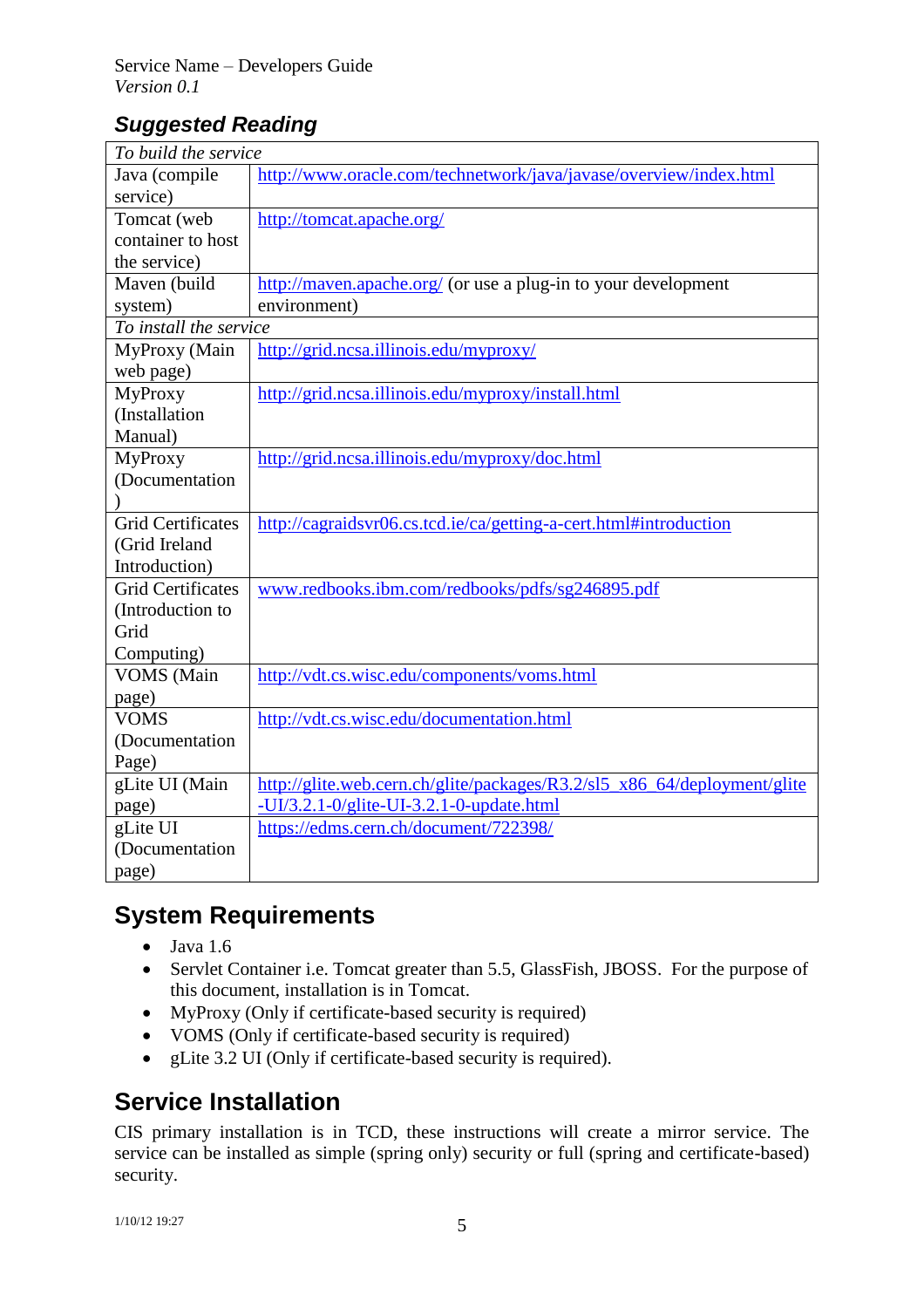# *Suggested Reading*

| To build the service     |                                                                          |  |
|--------------------------|--------------------------------------------------------------------------|--|
| Java (compile            | http://www.oracle.com/technetwork/java/javase/overview/index.html        |  |
| service)                 |                                                                          |  |
| Tomcat (web              | http://tomcat.apache.org/                                                |  |
| container to host        |                                                                          |  |
| the service)             |                                                                          |  |
| Maven (build             | http://maven.apache.org/ (or use a plug-in to your development           |  |
| system)                  | environment)                                                             |  |
| To install the service   |                                                                          |  |
| MyProxy (Main            | http://grid.ncsa.illinois.edu/myproxy/                                   |  |
| web page)                |                                                                          |  |
| <b>MyProxy</b>           | http://grid.ncsa.illinois.edu/myproxy/install.html                       |  |
| (Installation            |                                                                          |  |
| Manual)                  |                                                                          |  |
| <b>MyProxy</b>           | http://grid.ncsa.illinois.edu/myproxy/doc.html                           |  |
| (Documentation           |                                                                          |  |
|                          |                                                                          |  |
| <b>Grid Certificates</b> | http://cagraidsvr06.cs.tcd.ie/ca/getting-a-cert.html#introduction        |  |
| (Grid Ireland            |                                                                          |  |
| Introduction)            |                                                                          |  |
| <b>Grid Certificates</b> | www.redbooks.ibm.com/redbooks/pdfs/sg246895.pdf                          |  |
| (Introduction to         |                                                                          |  |
| Grid                     |                                                                          |  |
| Computing)               |                                                                          |  |
| VOMS (Main               | http://vdt.cs.wisc.edu/components/voms.html                              |  |
| page)                    |                                                                          |  |
| <b>VOMS</b>              | http://vdt.cs.wisc.edu/documentation.html                                |  |
| (Documentation           |                                                                          |  |
| Page)                    |                                                                          |  |
| gLite UI (Main           | http://glite.web.cern.ch/glite/packages/R3.2/sl5_x86_64/deployment/glite |  |
| page)                    | -UI/3.2.1-0/glite-UI-3.2.1-0-update.html                                 |  |
| gLite UI                 | https://edms.cern.ch/document/722398/                                    |  |
| (Documentation)          |                                                                          |  |
| page)                    |                                                                          |  |

# **System Requirements**

- Java 1.6
- Servlet Container i.e. Tomcat greater than 5.5, GlassFish, JBOSS. For the purpose of this document, installation is in Tomcat.
- MyProxy (Only if certificate-based security is required)
- VOMS (Only if certificate-based security is required)
- gLite 3.2 UI (Only if certificate-based security is required).

# **Service Installation**

CIS primary installation is in TCD, these instructions will create a mirror service. The service can be installed as simple (spring only) security or full (spring and certificate-based) security.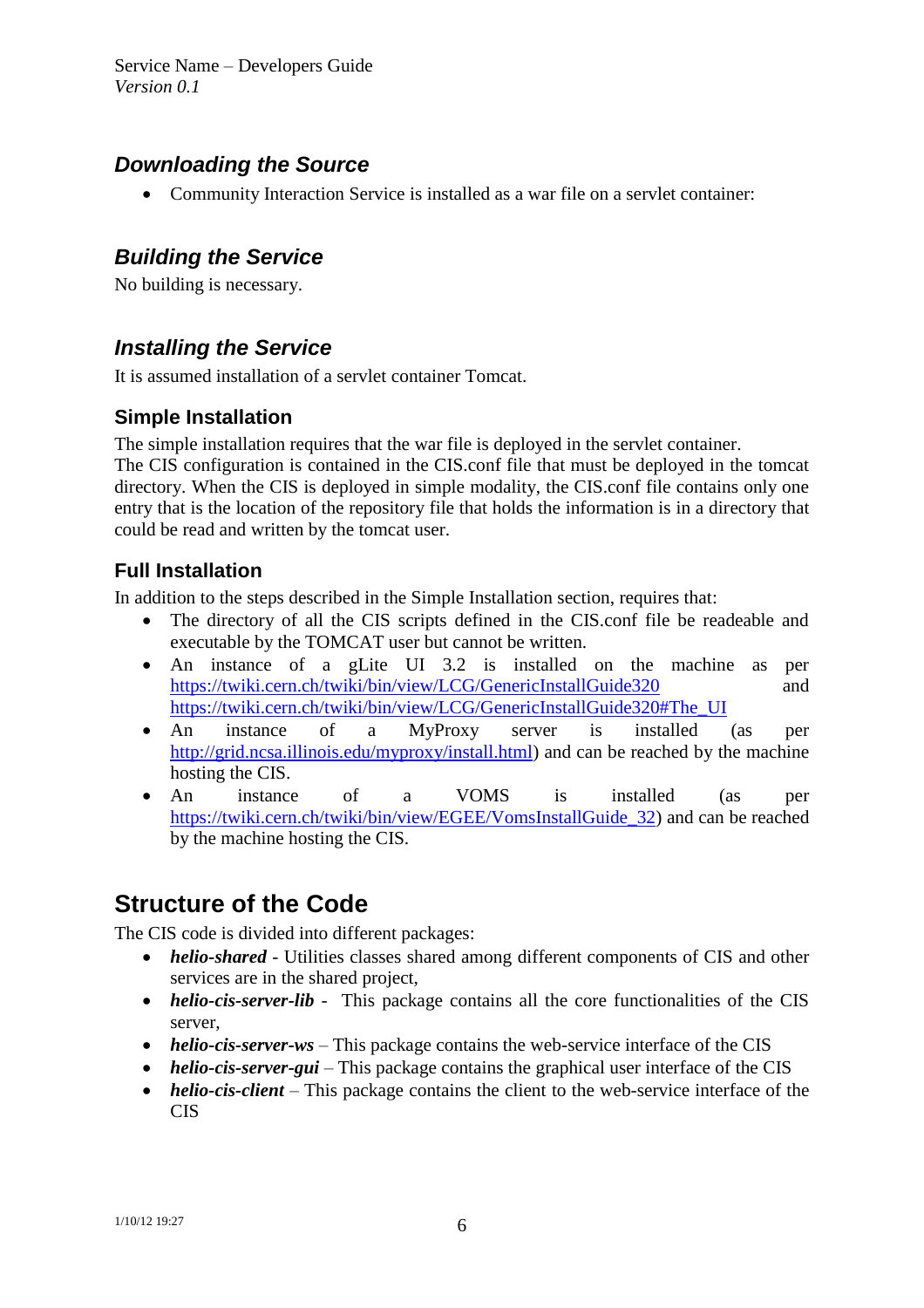Service Name – Developers Guide *Version 0.1*

#### *Downloading the Source*

Community Interaction Service is installed as a war file on a servlet container:

#### *Building the Service*

No building is necessary.

#### *Installing the Service*

It is assumed installation of a servlet container Tomcat.

#### **Simple Installation**

The simple installation requires that the war file is deployed in the servlet container.

The CIS configuration is contained in the CIS.conf file that must be deployed in the tomcat directory. When the CIS is deployed in simple modality, the CIS.conf file contains only one entry that is the location of the repository file that holds the information is in a directory that could be read and written by the tomcat user.

#### **Full Installation**

In addition to the steps described in the Simple Installation section, requires that:

- The directory of all the CIS scripts defined in the CIS.conf file be readeable and executable by the TOMCAT user but cannot be written.
- An instance of a gLite UI 3.2 is installed on the machine as per <https://twiki.cern.ch/twiki/bin/view/LCG/GenericInstallGuide320> and [https://twiki.cern.ch/twiki/bin/view/LCG/GenericInstallGuide320#The\\_UI](https://twiki.cern.ch/twiki/bin/view/LCG/GenericInstallGuide320#The_UI)
- An instance of a MyProxy server is installed (as per [http://grid.ncsa.illinois.edu/myproxy/install.html\)](http://grid.ncsa.illinois.edu/myproxy/install.html) and can be reached by the machine hosting the CIS.
- An instance of a VOMS is installed (as per [https://twiki.cern.ch/twiki/bin/view/EGEE/VomsInstallGuide\\_32\)](https://twiki.cern.ch/twiki/bin/view/EGEE/VomsInstallGuide_32) and can be reached by the machine hosting the CIS.

# **Structure of the Code**

The CIS code is divided into different packages:

- *helio-shared* Utilities classes shared among different components of CIS and other services are in the shared project,
- *helio-cis-server-lib* This package contains all the core functionalities of the CIS server,
- *helio-cis-server-ws* This package contains the web-service interface of the CIS
- *helio-cis-server-gui* This package contains the graphical user interface of the CIS
- *helio-cis-client* This package contains the client to the web-service interface of the CIS